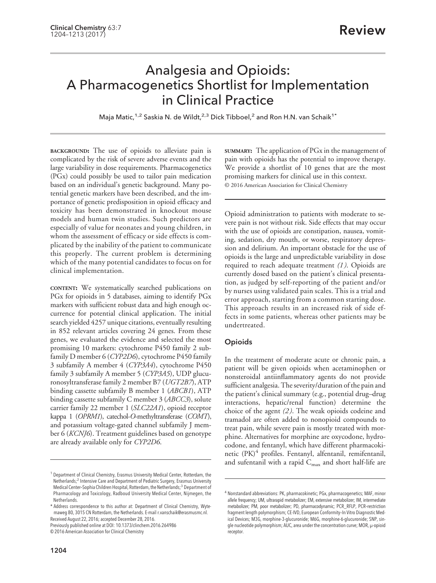# Analgesia and Opioids: A Pharmacogenetics Shortlist for Implementation in Clinical Practice

Maja Matic,<sup>1,2</sup> Saskia N. de Wildt,<sup>2,3</sup> Dick Tibboel,<sup>2</sup> and Ron H.N. van Schaik<sup>1\*</sup>

**BACKGROUND:** The use of opioids to alleviate pain is complicated by the risk of severe adverse events and the large variability in dose requirements. Pharmacogenetics (PGx) could possibly be used to tailor pain medication based on an individual's genetic background. Many potential genetic markers have been described, and the importance of genetic predisposition in opioid efficacy and toxicity has been demonstrated in knockout mouse models and human twin studies. Such predictors are especially of value for neonates and young children, in whom the assessment of efficacy or side effects is complicated by the inability of the patient to communicate this properly. The current problem is determining which of the many potential candidates to focus on for clinical implementation.

**CONTENT:** We systematically searched publications on PGx for opioids in 5 databases, aiming to identify PGx markers with sufficient robust data and high enough occurrence for potential clinical application. The initial search yielded 4257 unique citations, eventually resulting in 852 relevant articles covering 24 genes. From these genes, we evaluated the evidence and selected the most promising 10 markers: cytochrome P450 family 2 subfamily D member 6 (*CYP2D6*), cytochrome P450 family 3 subfamily A member 4 (*CYP3A4*), cytochrome P450 family 3 subfamily A member 5 (*CYP3A5*), UDP glucuronosyltransferase family 2 member B7 (*UGT2B7*), ATP binding cassette subfamily B member 1 (*ABCB1*), ATP binding cassette subfamily C member 3 (*ABCC3*), solute carrier family 22 member 1 (*SLC22A1*), opioid receptor kappa 1 (*OPRM1*), catechol-*O*-methyltransferase (*COMT*), and potassium voltage-gated channel subfamily J member 6 (*KCNJ6*). Treatment guidelines based on genotype are already available only for *CYP2D6*.

Previously published online at DOI: 10.1373/clinchem.2016.264986

**SUMMARY:** The application of PGx in the management of pain with opioids has the potential to improve therapy. We provide a shortlist of 10 genes that are the most promising markers for clinical use in this context. © 2016 American Association for Clinical Chemistry

Opioid administration to patients with moderate to severe pain is not without risk. Side effects that may occur with the use of opioids are constipation, nausea, vomiting, sedation, dry mouth, or worse, respiratory depression and delirium. An important obstacle for the use of opioids is the large and unpredictable variability in dose required to reach adequate treatment *(1 )*. Opioids are currently dosed based on the patient's clinical presentation, as judged by self-reporting of the patient and/or by nurses using validated pain scales. This is a trial and error approach, starting from a common starting dose. This approach results in an increased risk of side effects in some patients, whereas other patients may be undertreated.

## **Opioids**

In the treatment of moderate acute or chronic pain, a patient will be given opioids when acetaminophen or nonsteroidal antiinflammatory agents do not provide sufficient analgesia. The severity/duration of the pain and the patient's clinical summary (e.g., potential drug–drug interactions, hepatic/renal function) determine the choice of the agent *(2 )*. The weak opioids codeine and tramadol are often added to nonopioid compounds to treat pain, while severe pain is mostly treated with morphine. Alternatives for morphine are oxycodone, hydrocodone, and fentanyl, which have different pharmacokinetic  $(PK)^4$  profiles. Fentanyl, alfentanil, remifentanil, and sufentanil with a rapid  $C_{\text{max}}$  and short half-life are

<sup>&</sup>lt;sup>1</sup> Department of Clinical Chemistry, Erasmus University Medical Center, Rotterdam, the Netherlands;<sup>2</sup> Intensive Care and Department of Pediatric Surgery, Erasmus University Medical Center-Sophia Children Hospital, Rotterdam, the Netherlands;<sup>3</sup> Department of Pharmacology and Toxicology, Radboud University Medical Center, Nijmegen, the Netherlands.

<sup>\*</sup> Address correspondence to this author at: Department of Clinical Chemistry, Wytemaweg 80, 3015 CN Rotterdam, the Netherlands. E-mail r.vanschaik@erasmusmc.nl. Received August 22, 2016; accepted December 28, 2016.

<sup>© 2016</sup> American Association for Clinical Chemistry

<sup>4</sup> Nonstandard abbreviations: PK, pharmacokinetic; PGx, pharmacogenetics; MAF, minor allele frequency; UM, ultrarapid metabolizer; EM, extensive metabolizer; IM, intermediate metabolizer; PM, poor metabolizer; PD, pharmacodynamic; PCR\_RFLP, PCR–restriction fragment length polymorphism; CE-IVD, European Conformity–In Vitro Diagnostic Medical Devices; M3G, morphine-3-glucuronide; M6G, morphine-6-glucuronide; SNP, single nucleotide polymorphism; AUC, area under the concentration curve; MOR, μ-opioid receptor.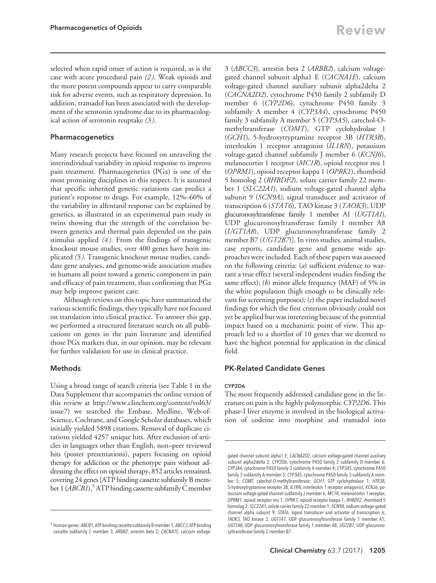selected when rapid onset of action is required, as is the case with acute procedural pain *(2 )*. Weak opioids and the more potent compounds appear to carry comparable risk for adverse events, such as respiratory depression. In addition, tramadol has been associated with the development of the serotonin syndrome due to its pharmacological action of serotonin reuptake *(3 )*.

# Pharmacogenetics

Many research projects have focused on unraveling the interindividual variability in opioid response to improve pain treatment. Pharmacogenetics (PGx) is one of the most promising disciplines in this respect. It is assumed that specific inherited genetic variations can predict a patient's response to drugs. For example, 12%–60% of the variability in alfentanil response can be explained by genetics, as illustrated in an experimental pain study in twins showing that the strength of the correlation between genetics and thermal pain depended on the pain stimulus applied *(4 )*. From the findings of transgenic knockout mouse studies, over 400 genes have been implicated *(5 )*. Transgenic knockout mouse studies, candidate gene analyses, and genome-wide association studies in humans all point toward a genetic component in pain and efficacy of pain treatment, thus confirming that PGx may help improve patient care.

Although reviews on this topic have summarized the various scientific findings, they typically have not focused on translation into clinical practice. To answer this gap, we performed a structured literature search on all publications on genes in the pain literature and identified those PGx markers that, in our opinion, may be relevant for further validation for use in clinical practice.

## Methods

Using a broad range of search criteria (see Table 1 in the Data Supplement that accompanies the online version of this review at [http://www.clinchem.org/content/vol63/](http://www.clinchem.org/content/vol63/issue7) [issue7\)](http://www.clinchem.org/content/vol63/issue7) we searched the Embase, Medline, Web-of-Science, Cochrane, and Google Scholar databases, which initially yielded 5898 citations. Removal of duplicate citations yielded 4257 unique hits. After exclusion of articles in languages other than English, non–peer reviewed hits (poster presentations), papers focusing on opioid therapy for addiction or the phenotype pain without addressing the effect on opioid therapy, 852 articles remained, covering 24 genes [ATP binding cassette subfamily B member 1 (*ABCB1*),<sup>5</sup> ATP binding cassette subfamily C member

3 (*ABCC3*), arrestin beta 2 (*ARBB2*), calcium voltagegated channel subunit alpha1 E (*CACNA1E*), calcium voltage-gated channel auxiliary subunit alpha2delta 2 (*CACNA2D2*), cytochrome P450 family 2 subfamily D member 6 (*CYP2D6*), cytochrome P450 family 3 subfamily A member 4 (*CYP3A4*), cytochrome P450 family 3 subfamily A member 5 (*CYP3A5*), catechol-Omethyltransferase (*COMT*), GTP cyclohydrolase 1 (*GCH1*), 5-hydroxytryptamine receptor 3B (*HTR3B*), interleukin 1 receptor antagonist (*IL1RN*), potassium voltage-gated channel subfamily J member 6 (*KCNJ6*), melanocortin 1 receptor (*MC1R*), opioid receptor mu 1 (*OPRM1*), opioid receptor kappa 1 (*OPRK1*), rhomboid 5 homolog 2 (*RHBDF2*), solute carrier family 22 member 1 (*SLC22A1*), sodium voltage-gated channel alpha subunit 9 (*SCN9A),* signal transducer and activator of transcription 6 (*STAT6*), TAO kinase 3 (*TAOK3*), UDP glucuronosyltransferase family 1 member A1 (*UGT1A1*), UDP glucuronosyltransferase family 1 member A8 (*UGT1A8*), UDP glucuronosyltransferase family 2 member B7 (*UGT2B7*)]. In vitro studies*,* animal studies, case reports, candidate gene and genome wide approaches were included. Each of these papers was assessed on the following criteria: (*a*) sufficient evidence to warrant a true effect (several independent studies finding the same effect); (*b*) minor allele frequency (MAF) of 5% in the white population (high enough to be clinically relevant for screening purposes); (*c*) the paper included novel findings for which the first criterion obviously could not yet be applied but was interesting because of the potential impact based on a mechanistic point of view. This approach led to a shortlist of 10 genes that we deemed to have the highest potential for application in the clinical field.

# PK-Related Candidate Genes

## CYP2D6

The most frequently addressed candidate gene in the literature on pain is the highly polymorphic *CYP2D6*. This phase-I liver enzyme is involved in the biological activation of codeine into morphine and tramadol into

<sup>&</sup>lt;sup>5</sup> Human genes: ABCB1, ATP binding cassette subfamily B member 1; ABCC3, ATP binding cassette subfamily C member 3; ARBB2, arrestin beta 2; CACNA1E, calcium voltage-

gated channel subunit alpha1 E; CACNA2D2, calcium voltage-gated channel auxiliary subunit alpha2delta 2; CYP2D6, cytochrome P450 family 2 subfamily D member 6; CYP3A4, cytochrome P450 family 3 subfamily A member 4; CYP3A5, cytochrome P450 family 3 subfamily A member 5; CYP3A5, cytochrome P450 family 3 subfamily A member 5; COMT, catechol-O-methyltransferase; GCH1, GTP cyclohydrolase 1; HTR3B, 5-hydroxytryptamine receptor 3B; IL1RN, interleukin 1 receptor antagonist; KCNJ6, potassium voltage-gated channel subfamily J member 6; MC1R, melanocortin 1 receptor; OPRM1, opioid receptor mu 1; OPRK1, opioid receptor kappa 1; RHBDF2, rhomboid 5 homolog 2; SLC22A1, solute carrier family 22 member 1; SCN9A, sodium voltage-gated channel alpha subunit 9; STAT6, signal transducer and activator of transcription 6; TAOK3, TAO kinase 3; UGT1A1, UDP glucuronosyltransferase family 1 member A1; UGT1A8, UDP glucuronosyltransferase family 1 member A8; UGT2B7, UDP glucuronosyltransferase family 2 member B7.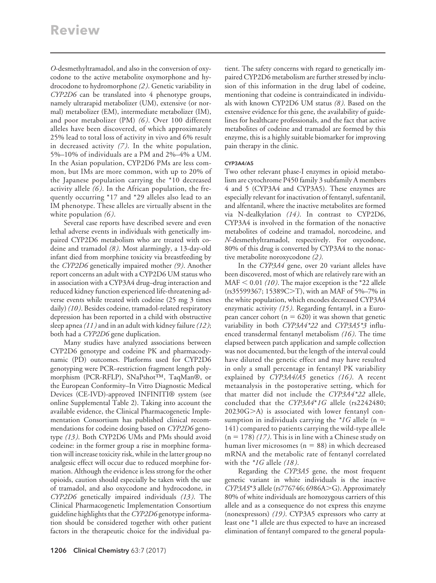*O*-desmethyltramadol, and also in the conversion of oxycodone to the active metabolite oxymorphone and hydrocodone to hydromorphone *(2 )*. Genetic variability in *CYP2D6* can be translated into 4 phenotype groups, namely ultrarapid metabolizer (UM), extensive (or normal) metabolizer (EM), intermediate metabolizer (IM), and poor metabolizer (PM) *(6 )*. Over 100 different alleles have been discovered, of which approximately 25% lead to total loss of activity in vivo and 6% result in decreased activity *(7 )*. In the white population, 5%–10% of individuals are a PM and 2%–4% a UM. In the Asian population, CYP2D6 PMs are less common, but IMs are more common, with up to 20% of the Japanese population carrying the \*10 decreased activity allele *(6 )*. In the African population, the frequently occurring \*17 and \*29 alleles also lead to an IM phenotype. These alleles are virtually absent in the white population *(6 )*.

Several case reports have described severe and even lethal adverse events in individuals with genetically impaired CYP2D6 metabolism who are treated with codeine and tramadol *(8 )*. Most alarmingly, a 13-day-old infant died from morphine toxicity via breastfeeding by the *CYP2D6* genetically impaired mother *(9 )*. Another report concerns an adult with a CYP2D6 UM status who in association with a CYP3A4 drug–drug interaction and reduced kidney function experienced life-threatening adverse events while treated with codeine (25 mg 3 times daily) *(10 )*. Besides codeine, tramadol-related respiratory depression has been reported in a child with obstructive sleep apnea *(11 )* and in an adult with kidney failure*(12 )*; both had a *CYP2D6* gene duplication.

Many studies have analyzed associations between CYP2D6 genotype and codeine PK and pharmacodynamic (PD) outcomes. Platforms used for CYP2D6 genotyping were PCR–restriction fragment length polymorphism (PCR-RFLP), SNaPshot™, TaqMan®, or the European Conformity–In Vitro Diagnostic Medical Devices (CE-IVD)-approved INFINITI® system (see online Supplemental Table 2). Taking into account the available evidence, the Clinical Pharmacogenetic Implementation Consortium has published clinical recommendations for codeine dosing based on *CYP2D6* genotype *(13 )*. Both CYP2D6 UMs and PMs should avoid codeine: in the former group a rise in morphine formation will increase toxicity risk, while in the latter group no analgesic effect will occur due to reduced morphine formation. Although the evidence is less strong for the other opioids, caution should especially be taken with the use of tramadol, and also oxycodone and hydrocodone, in *CYP2D6* genetically impaired individuals *(13 )*. The Clinical Pharmacogenetic Implementation Consortium guideline highlights that the *CYP2D6* genotype information should be considered together with other patient factors in the therapeutic choice for the individual patient. The safety concerns with regard to genetically impaired CYP2D6 metabolism are further stressed by inclusion of this information in the drug label of codeine, mentioning that codeine is contraindicated in individuals with known CYP2D6 UM status *(8 )*. Based on the extensive evidence for this gene, the availability of guidelines for healthcare professionals, and the fact that active metabolites of codeine and tramadol are formed by this enzyme, this is a highly suitable biomarker for improving pain therapy in the clinic.

## CYP3A4/A5

Two other relevant phase-I enzymes in opioid metabolism are cytochrome P450 family 3 subfamily A members 4 and 5 (CYP3A4 and CYP3A5). These enzymes are especially relevant for inactivation of fentanyl, sufentanil, and alfentanil, where the inactive metabolites are formed via N-dealkylation *(14 )*. In contrast to CYP2D6, CYP3A4 is involved in the formation of the nonactive metabolites of codeine and tramadol, norcodeine, and *N*-desmethyltramadol, respectively. For oxycodone, 80% of this drug is converted by CYP3A4 to the nonactive metabolite noroxycodone *(2 )*.

In the *CYP3A4* gene, over 20 variant alleles have been discovered, most of which are relatively rare with an  $MAF < 0.01$  *(10)*. The major exception is the \*22 allele (rs35599367; 15389C>T), with an MAF of 5%-7% in the white population, which encodes decreased CYP3A4 enzymatic activity *(15 )*. Regarding fentanyl, in a European cancer cohort ( $n = 620$ ) it was shown that genetic variability in both *CYP3A4\*22* and *CYP3A5\*3* influenced transdermal fentanyl metabolism *(16 )*. The time elapsed between patch application and sample collection was not documented, but the length of the interval could have diluted the genetic effect and may have resulted in only a small percentage in fentanyl PK variability explained by *CYP3A4/A5* genetics *(16 )*. A recent metaanalysis in the postoperative setting, which for that matter did not include the *CYP3A4\*22* allele, concluded that the *CYP3A4*\**1G* allele (rs2242480;  $20230G$ >A) is associated with lower fentanyl consumption in individuals carrying the  $*$ 1G allele (n = 141) compared to patients carrying the wild-type allele  $(n = 178)$   $(17)$ . This is in line with a Chinese study on human liver microsomes ( $n = 88$ ) in which decreased mRNA and the metabolic rate of fentanyl correlated with the *\*1G* allele *(18 )*.

Regarding the *CYP3A5* gene, the most frequent genetic variant in white individuals is the inactive *CYP3A5*\*3 allele (rs776746; 6986A>G). Approximately 80% of white individuals are homozygous carriers of this allele and as a consequence do not express this enzyme (nonexpressors) *(19 )*. CYP3A5 expressors who carry at least one \*1 allele are thus expected to have an increased elimination of fentanyl compared to the general popula-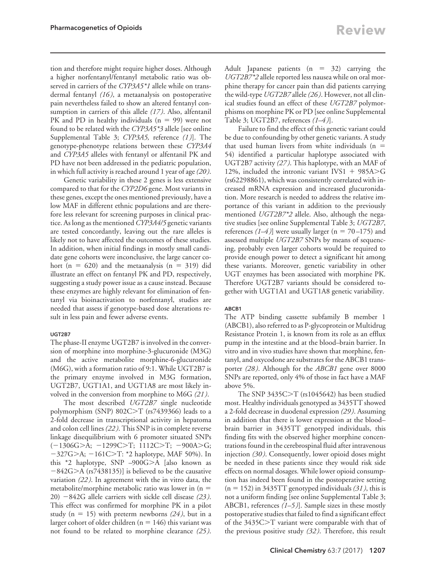tion and therefore might require higher doses. Although a higher norfentanyl/fentanyl metabolic ratio was observed in carriers of the *CYP3A5\*1* allele while on transdermal fentanyl *(16 )*, a metaanalysis on postoperative pain nevertheless failed to show an altered fentanyl consumption in carriers of this allele *(17 )*. Also, alfentanil PK and PD in healthy individuals  $(n = 99)$  were not found to be related with the *CYP3A5\*3* allele [see online Supplemental Table 3; *CYP3A5,* reference *(1 )*]. The genotype-phenotype relations between these *CYP3A4* and *CYP3A5* alleles with fentanyl or alfentanil PK and PD have not been addressed in the pediatric population, in which full activity is reached around 1 year of age*(20 )*.

Genetic variability in these 2 genes is less extensive compared to that for the *CYP2D6* gene. Most variants in these genes, except the ones mentioned previously, have a low MAF in different ethnic populations and are therefore less relevant for screening purposes in clinical practice. As long as the mentioned *CYP3A4/5* genetic variants are tested concordantly, leaving out the rare alleles is likely not to have affected the outcomes of these studies. In addition, when initial findings in mostly small candidate gene cohorts were inconclusive, the large cancer cohort (n = 620) and the metaanalysis (n = 319) did illustrate an effect on fentanyl PK and PD, respectively, suggesting a study power issue as a cause instead. Because these enzymes are highly relevant for elimination of fentanyl via bioinactivation to norfentanyl, studies are needed that assess if genotype-based dose alterations result in less pain and fewer adverse events.

#### UGT2B7

The phase-II enzyme UGT2B7 is involved in the conversion of morphine into morphine-3-glucuronide (M3G) and the active metabolite morphine-6-glucuronide (M6G), with a formation ratio of 9:1. While UGT2B7 is the primary enzyme involved in M3G formation, UGT2B7, UGT1A1, and UGT1A8 are most likely involved in the conversion from morphine to M6G *(21 )*.

The most described *UGT2B7* single nucleotide polymorphism (SNP) 802C $>$ T (rs7439366) leads to a 2-fold decrease in transcriptional activity in hepatoma and colon cell lines *(22 )*. This SNP is in complete reverse linkage disequilibrium with 6 promoter situated SNPs  $(-1306G > A; -1299C > T; 1112C > T; -900A > G;$  $-327G > A$ ;  $-161C > T$ : \*2 haplotype, MAF 50%). In this  $*2$  haplotype, SNP  $-900G>A$  [also known as  $-842G>A$  (rs7438135)] is believed to be the causative variation *(22 )*. In agreement with the in vitro data, the metabolite/morphine metabolic ratio was lower in  $(n =$ 20) 842G allele carriers with sickle cell disease *(23 )*. This effect was confirmed for morphine PK in a pilot study ( $n = 15$ ) with preterm newborns (24), but in a larger cohort of older children ( $n = 146$ ) this variant was not found to be related to morphine clearance *(25 )*. Adult Japanese patients  $(n = 32)$  carrying the *UGT2B7\*2* allele reported less nausea while on oral morphine therapy for cancer pain than did patients carrying the wild-type *UGT2B7* allele*(26 )*. However, not all clinical studies found an effect of these *UGT2B7* polymorphisms on morphine PK or PD [see online Supplemental Table 3; UGT2B7, references *(1–4 )*].

Failure to find the effect of this genetic variant could be due to confounding by other genetic variants. A study that used human livers from white individuals  $(n =$ 54) identified a particular haplotype associated with UGT2B7 activity *(27 )*. This haplotype, with an MAF of 12%, included the intronic variant IVS1  $+$  985A>G (rs62298861), which was consistently correlated with increased mRNA expression and increased glucuronidation. More research is needed to address the relative importance of this variant in addition to the previously mentioned *UGT2B7\*2* allele. Also, although the negative studies [see online Supplemental Table 3; *UGT2B7*, references  $(1-4)$ ] were usually larger (n = 70–175) and assessed multiple *UGT2B7* SNPs by means of sequencing, probably even larger cohorts would be required to provide enough power to detect a significant hit among these variants. Moreover, genetic variability in other UGT enzymes has been associated with morphine PK. Therefore UGT2B7 variants should be considered together with UGT1A1 and UGT1A8 genetic variability.

#### ABCB1

The ATP binding cassette subfamily B member 1 (ABCB1), also referred to as P-glycoprotein or Multidrug Resistance Protein 1, is known from its role as an efflux pump in the intestine and at the blood–brain barrier. In vitro and in vivo studies have shown that morphine, fentanyl, and oxycodone are substrates for the ABCB1 transporter *(28 )*. Although for the *ABCB1* gene over 8000 SNPs are reported, only 4% of those in fact have a MAF above 5%.

The SNP 3435C $\geq$ T (rs1045642) has been studied most. Healthy individuals genotyped as 3435TT showed a 2-fold decrease in duodenal expression *(29 )*. Assuming in addition that there is lower expression at the blood– brain barrier in 3435TT genotyped individuals, this finding fits with the observed higher morphine concentrations found in the cerebrospinal fluid after intravenous injection *(30 )*. Consequently, lower opioid doses might be needed in these patients since they would risk side effects on normal dosages. While lower opioid consumption has indeed been found in the postoperative setting  $(n = 152)$  in 3435TT genotyped individuals *(31)*, this is not a uniform finding [see online Supplemental Table 3; ABCB1, references  $(1-5)$ ]. Sample sizes in these mostly postoperative studies that failed to find a significant effect of the 3435C>T variant were comparable with that of the previous positive study *(32 )*. Therefore, this result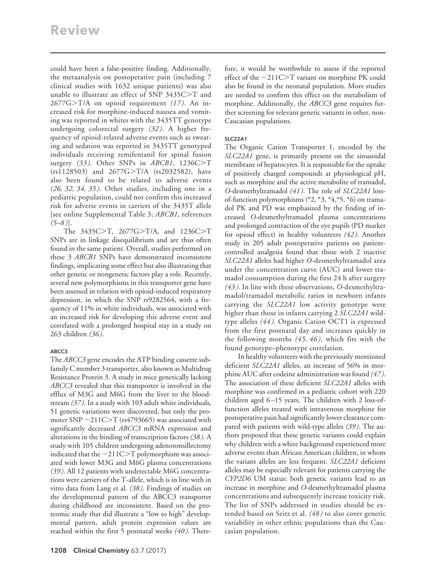could have been a false-positive finding. Additionally, the metaanalysis on postoperative pain (including 7 clinical studies with 1632 unique patients) was also unable to illustrate an effect of SNP  $3435C > T$  and 2677G>T/A on opioid requirement (17). An increased risk for morphine-induced nausea and vomiting was reported in whites with the 3435TT genotype undergoing colorectal surgery *(32 )*. A higher frequency of opioid-related adverse events such as sweating and sedation was reported in 3435TT genotyped individuals receiving remifentanil for spinal fusion surgery (33). Other SNPs in *ABCB1*, 1236C>T  $(rs1128503)$  and  $2677G>T/A$  (rs2032582), have also been found to be related to adverse events *(26, 32, 34, 35 )*. Other studies, including one in a pediatric population, could not confirm this increased risk for adverse events in carriers of the 3435T allele [see online Supplemental Table 3; *ABCB1*, references *(5–8 )*].

The 3435C>T, 2677G>T/A, and 1236C>T SNPs are in linkage disequilibrium and are thus often found in the same patient. Overall, studies performed on these 3 *ABCB1* SNPs have demonstrated inconsistent findings, implicating some effect but also illustrating that other genetic or nongenetic factors play a role. Recently, several new polymorphisms in this transporter gene have been assessed in relation with opioid-induced respiratory depression, in which the SNP rs9282564, with a frequency of 11% in white individuals, was associated with an increased risk for developing this adverse event and correlated with a prolonged hospital stay in a study on 263 children *(36 )*.

# ABCC3

The *ABCC3* gene encodes the ATP binding cassette subfamily C member 3 transporter, also known as Multidrug Resistance Protein 3. A study in mice genetically lacking *ABCC3* revealed that this transporter is involved in the efflux of M3G and M6G from the liver to the bloodstream *(37 )*. In a study with 103 adult white individuals, 51 genetic variations were discovered, but only the promoter SNP  $-211C>T$  (rs4793665) was associated with significantly decreased *ABCC3* mRNA expression and alterations in the binding of transcription factors *(38 )*. A study with 105 children undergoing adenotonsillectomy indicated that the  $-211C>T$  polymorphism was associated with lower M3G and M6G plasma concentrations *(39 )*. All 12 patients with undetectable M6G concentrations were carriers of the T-allele, which is in line with in vitro data from Lang et al. *(38 )*. Findings of studies on the developmental pattern of the ABCC3 transporter during childhood are inconsistent. Based on the proteomic study that did illustrate a "low to high" developmental pattern, adult protein expression values are reached within the first 5 postnatal weeks *(40 )*. There-

fore, it would be worthwhile to assess if the reported effect of the  $-211C>T$  variant on morphine PK could also be found in the neonatal population. More studies are needed to confirm this effect on the metabolism of morphine. Additionally, the *ABCC3* gene requires further screening for relevant genetic variants in other, non-Caucasian populations.

# SLC22A1

The Organic Cation Transporter 1, encoded by the *SLC22A1* gene, is primarily present on the sinusoidal membrane of hepatocytes. It is responsible for the uptake of positively charged compounds at physiological pH, such as morphine and the active metabolite of tramadol, *O*-desmethyltramadol *(41 )*. The role of *SLC22A1* lossof-function polymorphisms (\*2, \*3, \*4,\*5, \*6) on tramadol PK and PD was emphasized by the finding of increased *O*-desmethyltramadol plasma concentrations and prolonged contraction of the eye pupils (PD marker for opioid effect) in healthy volunteers *(42 )*. Another study in 205 adult postoperative patients on patientcontrolled analgesia found that those with 2 inactive *SLC22A1* alleles had higher *O*-desmethyltramadol area under the concentration curve (AUC) and lower tramadol consumption during the first 24 h after surgery *(43 )*. In line with these observations, *O*-desmethyltramadol/tramadol metabolic ratios in newborn infants carrying the *SLC22A1* low activity genotype were higher than those in infants carrying 2 *SLC22A1* wildtype alleles *(44 )*. Organic Cation OCT1 is expressed from the first postnatal day and increases quickly in the following months *(45, 46 )*, which fits with the found genotype–phenotype correlation.

In healthy volunteers with the previously mentioned deficient *SLC22A1* alleles, an increase of 56% in morphine AUC after codeine administration was found *(47 )*. The association of these deficient *SLC22A1* alleles with morphine was confirmed in a pediatric cohort with 220 children aged 6-15 years. The children with 2 loss-offunction alleles treated with intravenous morphine for postoperative pain had significantly lower clearance compared with patients with wild-type alleles *(39 )*. The authors proposed that these genetic variants could explain why children with a white background experienced more adverse events than African American children, in whom the variant alleles are less frequent. *SLC22A1* deficient alleles may be especially relevant for patients carrying the *CYP2D6* UM status: both genetic variants lead to an increase in morphine and *O*-desmethyltramadol plasma concentrations and subsequently increase toxicity risk. The list of SNPs addressed in studies should be extended based on Seitz et al. *(48 )* to also cover genetic variability in other ethnic populations than the Caucasian population.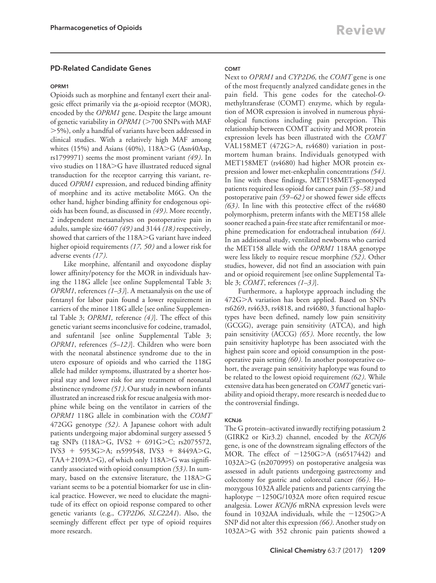# PD-Related Candidate Genes

#### OPRM1

Opioids such as morphine and fentanyl exert their analgesic effect primarily via the  $\mu$ -opioid receptor (MOR), encoded by the *OPRM1* gene. Despite the large amount of genetic variability in *OPRM1* (>700 SNPs with MAF 5%), only a handful of variants have been addressed in clinical studies. With a relatively high MAF among whites (15%) and Asians (40%),  $118A > G$  (Asn40Asp, rs1799971) seems the most prominent variant *(49 )*. In vivo studies on 118A>G have illustrated reduced signal transduction for the receptor carrying this variant, reduced *OPRM1* expression, and reduced binding affinity of morphine and its active metabolite M6G. On the other hand, higher binding affinity for endogenous opioids has been found, as discussed in *(49 )*. More recently, 2 independent metaanalyses on postoperative pain in adults, sample size 4607 *(49 )* and 3144 *(18 )* respectively, showed that carriers of the 118A>G variant have indeed higher opioid requirements *(17, 50 )* and a lower risk for adverse events *(17 )*.

Like morphine, alfentanil and oxycodone display lower affinity/potency for the MOR in individuals having the 118G allele [see online Supplemental Table 3; *OPRM1*, references *(1–3 )*]. A metaanalysis on the use of fentanyl for labor pain found a lower requirement in carriers of the minor 118G allele [see online Supplemental Table 3; *OPRM1,* reference *(4 )*]. The effect of this genetic variant seems inconclusive for codeine, tramadol, and sufentanil [see online Supplemental Table 3; *OPRM1*, references *(5–12 )*]. Children who were born with the neonatal abstinence syndrome due to the in utero exposure of opioids and who carried the 118G allele had milder symptoms, illustrated by a shorter hospital stay and lower risk for any treatment of neonatal abstinence syndrome*(51 )*. Our study in newborn infants illustrated an increased risk for rescue analgesia with morphine while being on the ventilator in carriers of the *OPRM1* 118G allele in combination with the *COMT* 472GG genotype *(52 )*. A Japanese cohort with adult patients undergoing major abdominal surgery assessed 5 tag SNPs (118A>G, IVS2 + 691G>C; rs2075572, IVS3 + 5953G $>A$ ; rs599548, IVS3 + 8449A $\geq$ G, TAA+2109A $\geq$ G), of which only 118A $\geq$ G was significantly associated with opioid consumption *(53 )*. In summary, based on the extensive literature, the  $118A > G$ variant seems to be a potential biomarker for use in clinical practice. However, we need to elucidate the magnitude of its effect on opioid response compared to other genetic variants (e.g., *CYP2D6*, *SLC22A1*). Also, the seemingly different effect per type of opioid requires more research.

## **COMT**

Next to *OPRM1* and *CYP2D6,* the *COMT* gene is one of the most frequently analyzed candidate genes in the pain field. This gene codes for the catechol-*O*methyltransferase (COMT) enzyme, which by regulation of MOR expression is involved in numerous physiological functions including pain perception. This relationship between COMT activity and MOR protein expression levels has been illustrated with the *COMT* VAL158MET (472G $>$ A, rs4680) variation in postmortem human brains. Individuals genotyped with MET158MET (rs4680) had higher MOR protein expression and lower met-enkephalin concentrations *(54 )*. In line with these findings, MET158MET-genotyped patients required less opioid for cancer pain *(55–58 )* and postoperative pain *(59 –62 )* or showed fewer side effects *(63 )*. In line with this protective effect of the rs4680 polymorphism, preterm infants with the MET158 allele sooner reached a pain-free state after remifentanil or morphine premedication for endotracheal intubation *(64 )*. In an additional study, ventilated newborns who carried the MET158 allele with the *OPRM1* 118AA genotype were less likely to require rescue morphine *(52 )*. Other studies, however, did not find an association with pain and or opioid requirement [see online Supplemental Table 3; *COMT*, references *(1–3 )*].

Furthermore, a haplotype approach including the 472GA variation has been applied. Based on SNPs rs6269, rs4633, rs4818, and rs4680, 3 functional haplotypes have been defined, namely low pain sensitivity (GCGG), average pain sensitivity (ATCA), and high pain sensitivity (ACCG) *(65 )*. More recently, the low pain sensitivity haplotype has been associated with the highest pain score and opioid consumption in the postoperative pain setting *(60 )*. In another postoperative cohort, the average pain sensitivity haplotype was found to be related to the lowest opioid requirement *(62 )*. While extensive data has been generated on *COMT* genetic variability and opioid therapy, more research is needed due to the controversial findings.

## KCNJ6

The G protein–activated inwardly rectifying potassium 2 (GIRK2 or Kir3.2) channel, encoded by the *KCNJ6* gene, is one of the downstream signaling effectors of the MOR. The effect of  $-1250G>A$  (rs6517442) and 1032A>G (rs2070995) on postoperative analgesia was assessed in adult patients undergoing gastrectomy and colectomy for gastric and colorectal cancer *(66 )*. Homozygous 1032A allele patients and patients carrying the haplotype  $-1250G/1032A$  more often required rescue analgesia. Lower *KCNJ6* mRNA expression levels were found in 1032AA individuals, while the  $-1250G$ >A SNP did not alter this expression *(66 )*. Another study on 1032A>G with 352 chronic pain patients showed a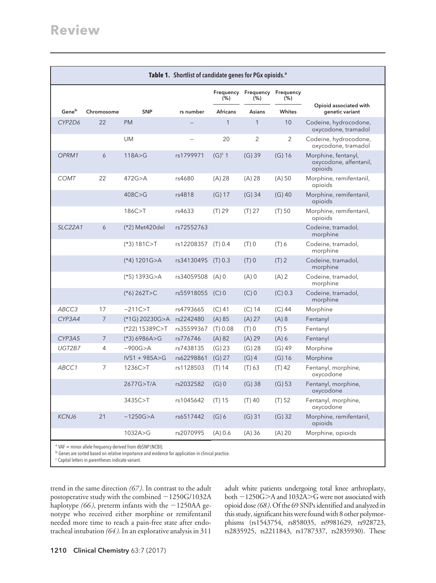| Table 1. Shortlist of candidate genes for PGx opioids. <sup>a</sup>  |                |                   |                  |                 |                                      |                |                                                          |
|----------------------------------------------------------------------|----------------|-------------------|------------------|-----------------|--------------------------------------|----------------|----------------------------------------------------------|
|                                                                      |                |                   |                  | (% )            | Frequency Frequency Frequency<br>(%) | (%)            |                                                          |
| $\mathsf{Gene}^\mathsf{b}$                                           | Chromosome     | <b>SNP</b>        | rs number        | <b>Africans</b> | <b>Asians</b>                        | Whites         | Opioid associated with<br>genetic variant                |
| CYP2D6                                                               | 22             | <b>PM</b>         |                  | $\mathbf{1}$    | $\mathbf{1}$                         | 10             | Codeine, hydrocodone,<br>oxycodone, tramadol             |
|                                                                      |                | UM                |                  | 20              | 2                                    | $\overline{2}$ | Codeine, hydrocodone,<br>oxycodone, tramadol             |
| OPRM1                                                                | 6              | 118A > G          | rs1799971        | $(G)^c$ 1       | $(G)$ 39                             | $(G)$ 16       | Morphine, fentanyl,<br>oxycodone, alfentanil,<br>opioids |
| <b>COMT</b>                                                          | 22             | 472G > A          | rs4680           | (A) 28          | (A) 28                               | $(A)$ 50       | Morphine, remifentanil,<br>opioids                       |
|                                                                      |                | 408C > G          | rs4818           | (G) 17          | $(G)$ 34                             | $(G)$ 40       | Morphine, remifentanil,<br>opioids                       |
|                                                                      |                | 186C>T            | rs4633           | (T) 29          | (T) 27                               | $(T)$ 50       | Morphine, remifentanil,<br>opioids                       |
| <b>SLC22A1</b>                                                       | 6              | (*2) Met420del    | rs72552763       |                 |                                      |                | Codeine, tramadol,<br>morphine                           |
|                                                                      |                | $(*3)$ 181C>T     | rs12208357       | (T) 0.4         | $(T)$ 0                              | $(T)$ 6        | Codeine, tramadol,<br>morphine                           |
|                                                                      |                | $(*4)$ 1201G>A    | rs34130495       | (T) 0.3         | $(T)$ 0                              | $(T)$ 2        | Codeine, tramadol,<br>morphine                           |
|                                                                      |                | $(*5)$ 1393G>A    | rs34059508 (A) 0 |                 | $(A)$ 0                              | $(A)$ 2        | Codeine, tramadol,<br>morphine                           |
|                                                                      |                | $(*6)$ 262T>C     | rs55918055       | $(C)$ 0         | $(C)$ 0                              | (C) 0.3        | Codeine, tramadol,<br>morphine                           |
| ABCC3                                                                | 17             | $-211C > T$       | rs4793665        | $(C)$ 41        | $(C)$ 14                             | $(C)$ 44       | Morphine                                                 |
| CYP3A4                                                               | $\overline{7}$ | (*1G) 20230G>A    | rs2242480        | (A) 85          | (A) 27                               | (A) 8          | Fentanyl                                                 |
|                                                                      |                | (*22) 15389C>T    | rs35599367       | (T) 0.08        | $(T)$ 0                              | $(T)$ 5        | Fentanyl                                                 |
| CYP3A5                                                               | $\overline{7}$ | $(*3)6986A>G$     | rs776746         | (A) 82          | $(A)$ 29                             | $(A)$ 6        | Fentanyl                                                 |
| UGT2B7                                                               | $\overline{4}$ | $-900G > A$       | rs7438135        | (G) 23          | (G) 28                               | $(G)$ 49       | Morphine                                                 |
|                                                                      |                | $IVS1 + 985A > G$ | rs62298861       | (G) 27          | $(G)$ 4                              | $(G)$ 16       | Morphine                                                 |
| ABCC1                                                                | $\overline{7}$ | 1236C > T         | rs1128503        | $(T)$ 14        | (T) 63                               | $(T)$ 42       | Fentanyl, morphine,<br>oxycodone                         |
|                                                                      |                | 2677G>T/A         | rs2032582        | $(G)$ 0         | $(G)$ 38                             | (G) 53         | Fentanyl, morphine,<br>oxycodone                         |
|                                                                      |                | 3435C>T           | rs1045642        | (T) 15          | $(T)$ 40                             | (T) 52         | Fentanyl, morphine,<br>oxycodone                         |
| KCNJ6                                                                | 21             | $-1250G > A$      | rs6517442        | $(G)$ 6         | $(G)$ 31                             | $(G)$ 32       | Morphine, remifentanil,<br>opioids                       |
|                                                                      |                | 1032A > G         | rs2070995        | (A) 0.6         | (A)36                                | $(A)$ 20       | Morphine, opioids                                        |
| <sup>a</sup> VAF = minor allele frequency derived from dbSNP (NCBI). |                |                   |                  |                 |                                      |                |                                                          |

<sup>b</sup> Genes are sorted based on relative importance and evidence for application in clinical practice.

<sup>c</sup> Capital letters in parentheses indicate variant.

trend in the same direction *(67 )*. In contrast to the adult postoperative study with the combined  $-1250G/1032A$ haplotype  $(66)$ , preterm infants with the  $-1250AA$  genotype who received either morphine or remifentanil needed more time to reach a pain-free state after endotracheal intubation *(64 )*. In an explorative analysis in 311

adult white patients undergoing total knee arthroplasty, both -1250G>A and 1032A>G were not associated with opioid dose*(68 )*. Of the 69 SNPs identified and analyzed in this study, significant hits were found with 8 other polymorphisms (rs1543754, rs858035, rs9981629, rs928723, rs2835925, rs2211843, rs1787337, rs2835930). These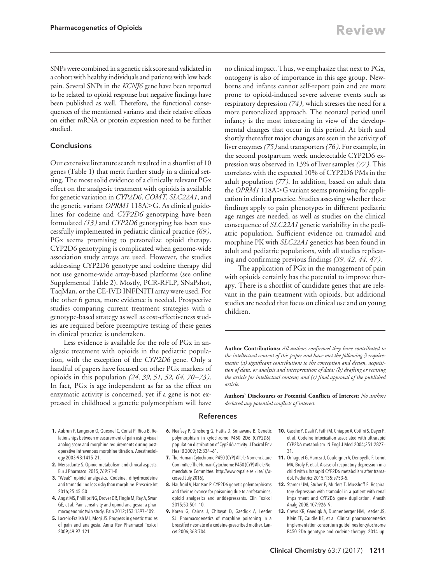SNPs were combined in a genetic risk score and validated in a cohort with healthy individuals and patients with low back pain. Several SNPs in the *KCNJ6* gene have been reported to be related to opioid response but negative findings have been published as well. Therefore, the functional consequences of the mentioned variants and their relative effects on either mRNA or protein expression need to be further studied.

# **Conclusions**

Our extensive literature search resulted in a shortlist of 10 genes (Table 1) that merit further study in a clinical setting. The most solid evidence of a clinically relevant PGx effect on the analgesic treatment with opioids is available for genetic variation in *CYP2D6, COMT, SLC22A1*, and the genetic variant *OPRM1* 118A>G. As clinical guidelines for codeine and *CYP2D6* genotyping have been formulated *(13 )* and *CYP2D6* genotyping has been successfully implemented in pediatric clinical practice *(69 )*, PGx seems promising to personalize opioid therapy. CYP2D6 genotyping is complicated when genome-wide association study arrays are used. However, the studies addressing CYP2D6 genotype and codeine therapy did not use genome-wide array-based platforms (see online Supplemental Table 2). Mostly, PCR-RFLP, SNaPshot, TaqMan, or the CE-IVD INFINITI array were used. For the other 6 genes, more evidence is needed. Prospective studies comparing current treatment strategies with a genotype-based strategy as well as cost-effectiveness studies are required before preemptive testing of these genes in clinical practice is undertaken.

Less evidence is available for the role of PGx in analgesic treatment with opioids in the pediatric population, with the exception of the *CYP2D6* gene. Only a handful of papers have focused on other PGx markers of opioids in this population *(24, 39, 51, 52, 64, 70 –73 )*. In fact, PGx is age independent as far as the effect on enzymatic activity is concerned, yet if a gene is not expressed in childhood a genetic polymorphism will have

no clinical impact. Thus, we emphasize that next to PGx, ontogeny is also of importance in this age group. Newborns and infants cannot self-report pain and are more prone to opioid-induced severe adverse events such as respiratory depression *(74 )*, which stresses the need for a more personalized approach. The neonatal period until infancy is the most interesting in view of the developmental changes that occur in this period. At birth and shortly thereafter major changes are seen in the activity of liver enzymes *(75 )* and transporters *(76 )*. For example, in the second postpartum week undetectable CYP2D6 expression was observed in 13% of liver samples *(77 )*. This correlates with the expected 10% of CYP2D6 PMs in the adult population *(77 )*. In addition, based on adult data the *OPRM1* 118A>G variant seems promising for application in clinical practice. Studies assessing whether these findings apply to pain phenotypes in different pediatric age ranges are needed, as well as studies on the clinical consequence of *SLC22A1* genetic variability in the pediatric population. Sufficient evidence on tramadol and morphine PK with *SLC22A1* genetics has been found in adult and pediatric populations, with all studies replicating and confirming previous findings *(39, 42, 44, 47 )*.

The application of PGx in the management of pain with opioids certainly has the potential to improve therapy. There is a shortlist of candidate genes that are relevant in the pain treatment with opioids, but additional studies are needed that focus on clinical use and on young children.

**Author Contributions:** *All authors confirmed they have contributed to the intellectual content of this paper and have met the following 3 requirements: (a) significant contributions to the conception and design, acquisition of data, or analysis and interpretation of data; (b) drafting or revising the article for intellectual content; and (c) final approval of the published article.*

**Authors' Disclosures or Potential Conflicts of Interest:** *No authors declared any potential conflicts of interest.*

## References

- **1.** Aubrun F, Langeron O, Quesnel C, Coriat P, Riou B. Relationships between measurement of pain using visual analog score and morphine requirements during postoperative intravenous morphine titration. Anesthesiology 2003;98:1415–21.
- **2.** Mercadante S. Opioid metabolism and clinical aspects. Eur J Pharmacol 2015;769:71–8.
- **3.** "Weak" opioid analgesics. Codeine, dihydrocodeine and tramadol: no less risky than morphine. Prescrire Int 2016;25:45–50.
- **4.** Angst MS, Phillips NG, Drover DR, Tingle M, Ray A, Swan GE, et al. Pain sensitivity and opioid analgesia: a pharmacogenomic twin study. Pain 2012;153:1397–409.
- **5.** Lacroix-Fralish ML, Mogi JS. Progress in genetic studies of pain and analgesia. Annu Rev Pharmacol Toxicol 2009;49:97–121.
- **6.** Neafsey P, Ginsberg G, Hattis D, Sonawane B. Genetic polymorphism in cytochrome P450 2D6 (CYP2D6): population distribution of Cyp2d6 activity. J Toxicol Env Heal B 2009;12:334 –61.
- **7.** The Human Cytochrome P450 (CYP) Allele Nomenclature Committee The Human Cytochrome P450 (CYP) Allele Nomenclature Committee.<http://www.cypalleles.ki.se/> (Accessed July 2016).
- **8.** Haufroid V, Hantson P. CYP2D6 genetic polymorphisms and their relevance for poisoning due to amfetamines, opioid analgesics and antidepressants. Clin Toxicol 2015;53:501–10.
- **9.** Koren G, Cairns J, Chitayat D, Gaedigk A, Leeder SJ. Pharmacogenetics of morphine poisoning in a breastfed neonate of a codeine-prescribed mother. Lancet 2006;368:704.
- **10.** Gasche Y, Daali Y, Fathi M, Chiappe A, Cottini S, Dayer P, et al. Codeine intoxication associated with ultrarapid CYP2D6 metabolism. N Engl J Med 2004;351:2827– 31.
- **11.** Orliaguet G, Hamza J, Couloigner V, Denoyelle F, Loriot MA, Broly F, et al. A case of respiratory depression in a child with ultrarapid CYP2D6 metabolism after tramadol. Pediatrics 2015;135:e753–5.
- **12.** Stamer UM, Stuber F, Muders T, Musshoff F. Respiratory depression with tramadol in a patient with renal impairment and CYP2D6 gene duplication. Anesth Analg 2008;107:926 –9.
- **13.** Crews KR, Gaedigk A, Dunnenberger HM, Leeder JS, Klein TE, Caudle KE, et al. Clinical pharmacogenetics implementation consortium guidelines for cytochrome P450 2D6 genotype and codeine therapy: 2014 up-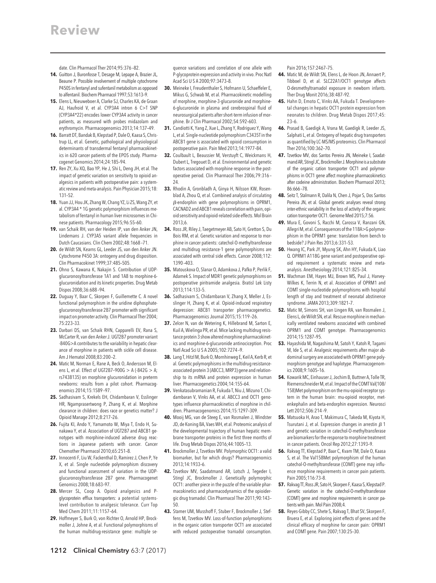date. Clin Pharmacol Ther 2014;95:376 –82.

- **14.** Guitton J, Buronfosse T, Desage M, Lepape A, Brazier JL, Beaune P. Possible involvement of multiple cytochrome P450S in fentanyl and sufentanil metabolism as opposed to alfentanil. Biochem Pharmacol 1997;53:1613–9.
- **15.** Elens L, Nieuweboer A, Clarke SJ, Charles KA, de Graan AJ, Haufroid V, et al. CYP3A4 intron 6 C>T SNP (CYP3A4\*22) encodes lower CYP3A4 activity in cancer patients, as measured with probes midazolam and erythromycin. Pharmacogenomics 2013;14:137–49.
- **16.** Barratt DT, Bandak B, Klepstad P, Dale O, Kaasa S, Christrup LL, et al. Genetic, pathological and physiological determinants of transdermal fentanyl pharmacokinetics in 620 cancer patients of the EPOS study. Pharmacogenet Genomics 2014;24:185–94.
- **17.** Ren ZY, Xu XQ, Bao YP, He J, Shi L, Deng JH, et al. The impact of genetic variation on sensitivity to opioid analgesics in patients with postoperative pain: a systematic review and meta-analysis. Pain Physician 2015;18: 131–52.
- **18.** Yuan JJ, Hou JK, Zhang W, Chang YZ, Li ZS, Wang ZY, et al. CYP3A4 \* 1G genetic polymorphism influences metabolism of fentanyl in human liver microsomes in Chinese patients. Pharmacology 2015;96:55–60.
- **19.** van Schaik RH, van der Heiden IP, van den Anker JN, Lindemans J. CYP3A5 variant allele frequencies in Dutch Caucasians. Clin Chem 2002;48:1668 –71.
- **20.** de Wildt SN, Kearns GL, Leeder JS, van den Anker JN. Cytochrome P450 3A: ontogeny and drug disposition. Clin Pharmacokinet 1999;37:485–505.
- **21.** Ohno S, Kawana K, Nakajin S. Contribution of UDPglucuronosyltransferase 1A1 and 1A8 to morphine-6 glucuronidation and its kinetic properties. Drug Metab Dispos 2008;36:688 –94.
- **22.** Duguay Y, Baar C, Skorpen F, Guillemette C. A novel functional polymorphism in the uridine diphosphateglucuronosyltransferase 2B7 promoter with significant impact on promoter activity. Clin Pharmacol Ther 2004; 75:223–33.
- **23.** Darbari DS, van Schaik RHN, Capparelli EV, Rana S, McCarter R, van den Anker J. UGT2B7 promoter variant -840G>A contributes to the variability in hepatic clearance of morphine in patients with sickle cell disease. Am J Hematol 2008;83:200 –2.
- **24.** Matic M, Norman E, Rane A, Beck O, Andersson M, Elens L, et al. Effect of UGT2B7–900G > A (-842G > A; rs7438135) on morphine glucuronidation in preterm newborns: results from a pilot cohort. Pharmacogenomics 2014;15:1589 –97.
- **25.** Sadhasivam S, Krekels EH, Chidambaran V, Esslinger HR, Ngamprasertwong P, Zhang K, et al. Morphine clearance in children: does race or genetics matter? J Opioid Manage 2012;8:217–26.
- **26.** Fujita KI, Ando Y, Yamamoto W, Miya T, Endo H, Sunakawa Y, et al. Association of UGT2B7 and ABCB1 genotypes with morphine-induced adverse drug reactions in Japanese patients with cancer. Cancer Chemother Pharmacol 2010;65:251–8.
- **27.** Innocenti F, Liu W, Fackenthal D, Ramirez J, Chen P, Ye X, et al. Single nucleotide polymorphism discovery and functional assessment of variation in the UDPglucuronosyltransferase 2B7 gene. Pharmacogenet Genomics 2008;18:683–97.
- **28.** Mercer SL, Coop A. Opioid analgesics and Pglycoprotein efflux transporters: a potential systemslevel contribution to analgesic tolerance. Curr Top Med Chem 2011;11:1157–64.
- **29.** Hoffmeyer S, Burk O, von Richter O, Arnold HP, Brockmoller J, Johne A, et al. Functional polymorphisms of the human multidrug-resistance gene: multiple se-

quence variations and correlation of one allele with P-glycoprotein expression and activity in vivo. Proc Natl Acad SciUSA 2000;97:3473–8.

- **30.** Meineke I, Freudenthaler S, Hofmann U, Schaeffeler E, Mikus G, Schwab M, et al. Pharmacokinetic modelling of morphine, morphine-3-glucuronide and morphine-6-glucuronide in plasma and cerebrospinal fluid of neurosurgical patients after short-term infusion of morphine. Br J Clin Pharmacol 2002;54:592–603.
- **31.** Candiotti K, Yang Z, Xue L, Zhang Y, Rodriguez Y, Wang L, et al. Single-nucleotide polymorphism C3435T in the ABCB1 gene is associated with opioid consumption in postoperative pain. Pain Med 2013;14:1977–84.
- **32.** Coulbault L, Beaussier M, Verstuyft C, Weickmans H, Dubert L, Tregouet D, et al. Environmental and genetic factors associated with morphine response in the postoperative period. Clin Pharmacol Ther 2006;79:316 –  $24.$
- **33.** Rhodin A, Gronbladh A, Ginya H, Nilsson KW, Rosenblad A, Zhou Q, et al. Combined analysis of circulating  $\beta$ -endorphin with gene polymorphisms in OPRM1, CACNAD2 and ABCB1 reveals correlation with pain, opioid sensitivity and opioid-related side effects. Mol Brain 2013;6.
- **34.** Ross JR, Riley J, Taegetmeyer AB, Sato H, Gretton S, Du Bois RM, et al. Genetic variation and response to morphine in cancer patients: catechol-O-methyltransferase and multidrug resistance-1 gene polymorphisms are associated with central side effects. Cancer 2008;112: 1390 –403.
- **35.** Matouskova O, Slanar O, Adamkova J, Pafko P, Perlik F, Adamek S. Impact of MDR1 genetic polymorphisms on postoperative piritramide analgesia. Bratisl Lek Listy 2013;114:133–5.
- **36.** Sadhasivam S, Chidambaran V, Zhang X, Meller J, Esslinger H, Zhang K, et al. Opioid-induced respiratory depression: ABCB1 transporter pharmacogenetics. Pharmacogenomics Journal 2015;15:119 –26.
- **37.** Zelcer N, van de Wetering K, Hillebrand M, Sarton E, Kuil A, Wielinga PR, et al. Mice lacking multidrug resistance protein 3 show altered morphine pharmacokinetics and morphine-6-glucuronide antinociception. Proc Natl Acad Sci U S A 2005;102:7274-9.
- **38.** Lang T, Hitzl M, Burk O, Mornhinweg E, Keil A, Kerb R, et al. Genetic polymorphisms in the multidrug resistanceassociated protein 3 (ABCC3, MRP3) gene and relationship to its mRNA and protein expression in human liver. Pharmacogenetics 2004;14:155–64.
- **39.** Venkatasubramanian R, Fukuda T, Niu J, Mizuno T, Chidambaran V, Vinks AA, et al. ABCC3 and OCT1 genotypes influence pharmacokinetics of morphine in children. Pharmacogenomics 2014;15:1297–309.
- **40.** Mooij MG, van de Steeg E, van Rosmalen J, Windster JD, de Koning BA, Vaes WH, et al. Proteomic analysis of the developmental trajectory of human hepatic membrane transporter proteins in the first three months of life. Drug Metab Dispos 2016;44:1005–13.
- **41.** Brockmoller J, Tzvetkov MV. Polymorphic OCT1: a valid biomarker, but for which drugs? Pharmacogenomics 2013;14:1933–6.
- **42.** Tzvetkov MV, Saadatmand AR, Lotsch J, Tegeder I, Stingl JC, Brockmoller J. Genetically polymorphic OCT1: another piece in the puzzle of the variable pharmacokinetics and pharmacodynamics of the opioidergic drug tramadol. Clin Pharmacol Ther 2011;90:143– 50.
- **43.** Stamer UM, Musshoff F, Stuber F, Brockmoller J, Steffens M, Tzvetkov MV. Loss-of-function polymorphisms in the organic cation transporter OCT1 are associated with reduced postoperative tramadol consumption.

Pain 2016;157:2467–75.

- **44.** Matic M, de Wildt SN, Elens L, de Hoon JN, Annaert P, Tibboel D, et al. SLC22A1/OCT1 genotype affects O-desmethyltramadol exposure in newborn infants. Ther Drug Monit 2016;38:487–92.
- **45.** Hahn D, Emoto C, Vinks AA, Fukuda T. Developmental changes in hepatic OCT1 protein expression from neonates to children. Drug Metab Dispos 2017;45: 23–6.
- **46.** Prasad B, Gaedigk A, Vrana M, Gaedigk R, Leeder JS, Salphati L, et al. Ontogeny of hepatic drug transporters as quantified by LC-MS/MS proteomics. Clin Pharmacol Ther 2016;100:362–70.
- **47.** Tzvetkov MV, dos Santos Pereira JN, Meineke I, Saadatmand AR, Stingl JC, Brockmoller J. Morphine is a substrate of the organic cation transporter OCT1 and polymorphisms in OCT1 gene affect morphine pharmacokinetics after codeine administration. Biochem Pharmacol 2013; 86:666 –78.
- **48.** Seitz T, Stalmann R, Dalila N, Chen J, Pojar S, Dos Santos Pereira JN, et al. Global genetic analyses reveal strong inter-ethnic variability in the loss of activity of the organic cation transporter OCT1. Genome Med 2015;7:56.
- **49.** Mura E, Govoni S, Racchi M, Carossa V, Ranzani GN, Allegri M, et al. Consequences of the 118A>G polymorphism in the OPRM1 gene: translation from bench to bedside? J Pain Res 2013;6:331–53.
- **50.** Hwang IC, Park JY, Myung SK, Ahn HY, Fukuda K, Liao Q. OPRM1 A118G gene variant and postoperative opioid requirement a systematic review and metaanalysis. Anesthesiology 2014;121:825–34.
- **51.** Wachman EM, Hayes MJ, Brown MS, Paul J, Harvey-Wilkes K, Terrin N, et al. Association of OPRM1 and COMT single-nucleotide polymorphisms with hospital length of stay and treatment of neonatal abstinence syndrome. JAMA 2013;309:1821–7.
- **52.** Matic M, Simons SH, van Lingen RA, van Rosmalen J, Elens L, de Wildt SN, et al. Rescue morphine in mechanically ventilated newborns associated with combined OPRM1 and COMT genotype. Pharmacogenomics 2014;15:1287–95.
- **53.** Hayashida M, Nagashima M, Satoh Y, Katoh R, Tagami M, Ide S, et al. Analgesic requirements after major abdominal surgery are associated with OPRM1 gene polymorphism genotype and haplotype. Pharmacogenomics 2008;9:1605–16.
- **54.** Kowarik MC, Einhauser J, Jochim B, Buttner A, Tolle TR, Riemenschneider M, et al. Impact ofthe COMT Val(108/ 158)Met polymorphism on the mu-opioid receptor system in the human brain: mu-opioid receptor, metenkephalin and beta-endorphin expression. Neurosci Lett 2012;506:214 –9.
- **55.** Matsuoka H, Arao T, Makimura C, Takeda M, Kiyota H, Tsurutani J, et al. Expression changes in arrestin  $\beta$  1 and genetic variation in catechol-O-methyltransferase are biomarkers for the response to morphine treatment in cancer patients. Oncol Rep 2012;27:1393–9.
- **56.** Rakvag TT, Klepstad P, Baar C, Kvam TM, Dale O, Kaasa S, et al. The Val158Met polymorphism of the human catechol-O-methyltransferase (COMT) gene may influence morphine requirements in cancer pain patients. Pain 2005;116:73–8.
- **57.** Rakvag TT, Ross JR, Sato H, Skorpen F, Kaasa S, Klepstad P. Genetic variation in the catechol-O-methyltransferase (COMT) gene and morphine requirements in cancer patients with pain. Mol Pain 2008;4.
- **58.** Reyes-Gibby CC, Shete S, Rakvag T, Bhat SV, Skorpen F, Bruera E, et al. Exploring joint effects of genes and the clinical efficacy of morphine for cancer pain: OPRM1 and COMT gene. Pain 2007;130:25–30.